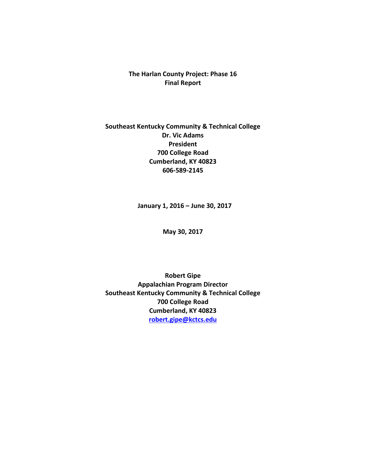# **The Harlan County Project: Phase 16 Final Report**

# **Southeast Kentucky Community & Technical College Dr. Vic Adams President 700 College Road Cumberland, KY 40823 606-589-2145**

**January 1, 2016 – June 30, 2017**

**May 30, 2017**

**Robert Gipe Appalachian Program Director Southeast Kentucky Community & Technical College 700 College Road Cumberland, KY 40823 [robert.gipe@kctcs.edu](mailto:Jane_johns@ABCCC.edu)**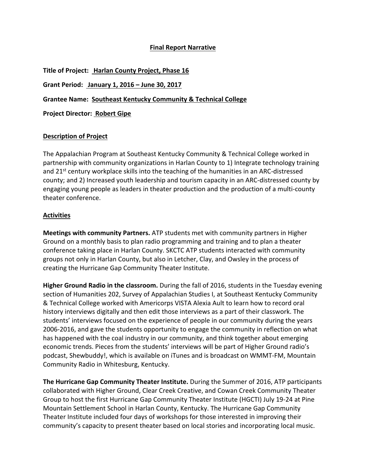### **Final Report Narrative**

| Title of Project: Harlan County Project, Phase 16              |
|----------------------------------------------------------------|
| Grant Period: January 1, 2016 – June 30, 2017                  |
| Grantee Name: Southeast Kentucky Community & Technical College |
| <b>Project Director: Robert Gipe</b>                           |
|                                                                |

#### **Description of Project**

The Appalachian Program at Southeast Kentucky Community & Technical College worked in partnership with community organizations in Harlan County to 1) Integrate technology training and 21<sup>st</sup> century workplace skills into the teaching of the humanities in an ARC-distressed county; and 2) Increased youth leadership and tourism capacity in an ARC-distressed county by engaging young people as leaders in theater production and the production of a multi-county theater conference.

#### **Activities**

**Meetings with community Partners.** ATP students met with community partners in Higher Ground on a monthly basis to plan radio programming and training and to plan a theater conference taking place in Harlan County. SKCTC ATP students interacted with community groups not only in Harlan County, but also in Letcher, Clay, and Owsley in the process of creating the Hurricane Gap Community Theater Institute.

**Higher Ground Radio in the classroom.** During the fall of 2016, students in the Tuesday evening section of Humanities 202, Survey of Appalachian Studies I, at Southeast Kentucky Community & Technical College worked with Americorps VISTA Alexia Ault to learn how to record oral history interviews digitally and then edit those interviews as a part of their classwork. The students' interviews focused on the experience of people in our community during the years 2006-2016, and gave the students opportunity to engage the community in reflection on what has happened with the coal industry in our community, and think together about emerging economic trends. Pieces from the students' interviews will be part of Higher Ground radio's podcast, Shewbuddy!, which is available on iTunes and is broadcast on WMMT-FM, Mountain Community Radio in Whitesburg, Kentucky.

**The Hurricane Gap Community Theater Institute.** During the Summer of 2016, ATP participants collaborated with Higher Ground, Clear Creek Creative, and Cowan Creek Community Theater Group to host the first Hurricane Gap Community Theater Institute (HGCTI) July 19-24 at Pine Mountain Settlement School in Harlan County, Kentucky. The Hurricane Gap Community Theater Institute included four days of workshops for those interested in improving their community's capacity to present theater based on local stories and incorporating local music.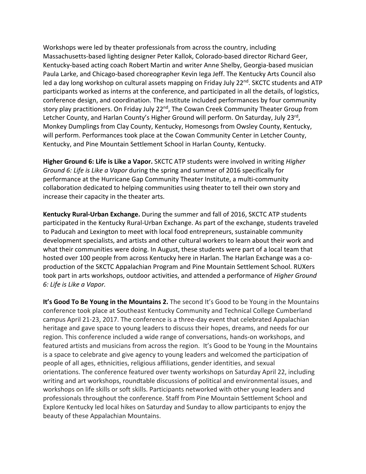Workshops were led by theater professionals from across the country, including Massachusetts-based lighting designer Peter Kallok, Colorado-based director Richard Geer, Kentucky-based acting coach Robert Martin and writer Anne Shelby, Georgia-based musician Paula Larke, and Chicago-based choreographer Kevin Iega Jeff. The Kentucky Arts Council also led a day long workshop on cultural assets mapping on Friday July 22<sup>nd</sup>. SKCTC students and ATP participants worked as interns at the conference, and participated in all the details, of logistics, conference design, and coordination. The Institute included performances by four community story play practitioners. On Friday July 22<sup>nd</sup>, The Cowan Creek Community Theater Group from Letcher County, and Harlan County's Higher Ground will perform. On Saturday, July 23<sup>rd</sup>, Monkey Dumplings from Clay County, Kentucky, Homesongs from Owsley County, Kentucky, will perform. Performances took place at the Cowan Community Center in Letcher County, Kentucky, and Pine Mountain Settlement School in Harlan County, Kentucky.

**Higher Ground 6: Life is Like a Vapor.** SKCTC ATP students were involved in writing *Higher Ground 6: Life is Like a Vapor* during the spring and summer of 2016 specifically for performance at the Hurricane Gap Community Theater Institute, a multi-community collaboration dedicated to helping communities using theater to tell their own story and increase their capacity in the theater arts.

**Kentucky Rural-Urban Exchange.** During the summer and fall of 2016, SKCTC ATP students participated in the Kentucky Rural-Urban Exchange. As part of the exchange, students traveled to Paducah and Lexington to meet with local food entrepreneurs, sustainable community development specialists, and artists and other cultural workers to learn about their work and what their communities were doing. In August, these students were part of a local team that hosted over 100 people from across Kentucky here in Harlan. The Harlan Exchange was a coproduction of the SKCTC Appalachian Program and Pine Mountain Settlement School. RUXers took part in arts workshops, outdoor activities, and attended a performance of *Higher Ground 6: Life is Like a Vapor.* 

**It's Good To Be Young in the Mountains 2.** The second It's Good to be Young in the Mountains conference took place at Southeast Kentucky Community and Technical College Cumberland campus April 21-23, 2017. The conference is a three-day event that celebrated Appalachian heritage and gave space to young leaders to discuss their hopes, dreams, and needs for our region. This conference included a wide range of conversations, hands-on workshops, and featured artists and musicians from across the region. It's Good to be Young in the Mountains is a space to celebrate and give agency to young leaders and welcomed the participation of people of all ages, ethnicities, religious affiliations, gender identities, and sexual orientations. The conference featured over twenty workshops on Saturday April 22, including writing and art workshops, roundtable discussions of political and environmental issues, and workshops on life skills or soft skills. Participants networked with other young leaders and professionals throughout the conference. Staff from Pine Mountain Settlement School and Explore Kentucky led local hikes on Saturday and Sunday to allow participants to enjoy the beauty of these Appalachian Mountains.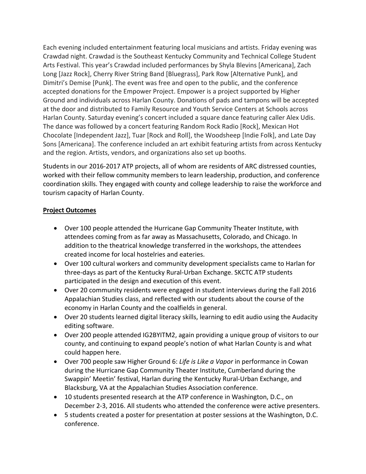Each evening included entertainment featuring local musicians and artists. Friday evening was Crawdad night. Crawdad is the Southeast Kentucky Community and Technical College Student Arts Festival. This year's Crawdad included performances by Shyla Blevins [Americana], Zach Long [Jazz Rock], Cherry River String Band [Bluegrass], Park Row [Alternative Punk], and Dimitri's Demise [Punk\. The event was free and open to the public, and the conference accepted donations for the Empower Project. Empower is a project supported by Higher Ground and individuals across Harlan County. Donations of pads and tampons will be accepted at the door and distributed to Family Resource and Youth Service Centers at Schools across Harlan County. Saturday evening's concert included a square dance featuring caller Alex Udis. The dance was followed by a concert featuring Random Rock Radio [Rock], Mexican Hot Chocolate [Independent Jazz], Tuar [Rock and Roll], the Woodsheep [Indie Folk], and Late Day Sons [Americana]. The conference included an art exhibit featuring artists from across Kentucky and the region. Artists, vendors, and organizations also set up booths.

Students in our 2016-2017 ATP projects, all of whom are residents of ARC distressed counties, worked with their fellow community members to learn leadership, production, and conference coordination skills. They engaged with county and college leadership to raise the workforce and tourism capacity of Harlan County.

### **Project Outcomes**

- • Over 100 people attended the Hurricane Gap Community Theater Institute, with attendees coming from as far away as Massachusetts, Colorado, and Chicago. In addition to the theatrical knowledge transferred in the workshops, the attendees created income for local hostelries and eateries.
- Over 100 cultural workers and community development specialists came to Harlan for three-days as part of the Kentucky Rural-Urban Exchange. SKCTC ATP students participated in the design and execution of this event.
- Over 20 community residents were engaged in student interviews during the Fall 2016 Appalachian Studies class, and reflected with our students about the course of the economy in Harlan County and the coalfields in general.
- Over 20 students learned digital literacy skills, learning to edit audio using the Audacity editing software.
- Over 200 people attended IG2BYITM2, again providing a unique group of visitors to our county, and continuing to expand people's notion of what Harlan County is and what could happen here.
- • Over 700 people saw Higher Ground 6: *Life is Like a Vapor* in performance in Cowan during the Hurricane Gap Community Theater Institute, Cumberland during the Swappin' Meetin' festival, Harlan during the Kentucky Rural-Urban Exchange, and Blacksburg, VA at the Appalachian Studies Association conference.
- 10 students presented research at the ATP conference in Washington, D.C., on December 2-3, 2016. All students who attended the conference were active presenters.
- 5 students created a poster for presentation at poster sessions at the Washington, D.C. conference.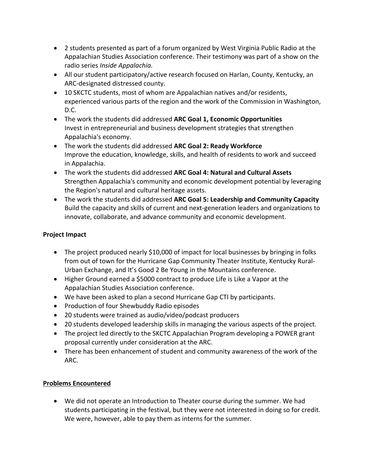- 2 students presented as part of a forum organized by West Virginia Public Radio at the Appalachian Studies Association conference. Their testimony was part of a show on the radio series *Inside Appalachia.*
- All our student participatory/active research focused on Harlan, County, Kentucky, an ARC-designated distressed county.
- 10 SKCTC students, most of whom are Appalachian natives and/or residents, experienced various parts of the region and the work of the Commission in Washington, D.C.
- • The work the students did addressed **ARC Goal 1, Economic Opportunities** Invest in entrepreneurial and business development strategies that strengthen Appalachia's economy.
- • The work the students did addressed **ARC Goal 2: Ready Workforce**  Improve the education, knowledge, skills, and health of residents to work and succeed in Appalachia.
- • The work the students did addressed **ARC Goal 4: Natural and Cultural Assets**  Strengthen Appalachia's community and economic development potential by leveraging the Region's natural and cultural heritage assets.
- • The work the students did addressed **ARC Goal 5: Leadership and Community Capacity**  Build the capacity and skills of current and next-generation leaders and organizations to innovate, collaborate, and advance community and economic development.

# **Project Impact**

- The project produced nearly \$10,000 of impact for local businesses by bringing in folks from out of town for the Hurricane Gap Community Theater Institute, Kentucky Rural-Urban Exchange, and It's Good 2 Be Young in the Mountains conference.
- Higher Ground earned a \$5000 contract to produce Life is Like a Vapor at the Appalachian Studies Association conference.
- We have been asked to plan a second Hurricane Gap CTI by participants.
- • Production of four Shewbuddy Radio episodes
- 20 students were trained as audio/video/podcast producers
- 20 students developed leadership skills in managing the various aspects of the project.
- The project led directly to the SKCTC Appalachian Program developing a POWER grant proposal currently under consideration at the ARC.
- There has been enhancement of student and community awareness of the work of the ARC.

# **Problems Encountered**

• We did not operate an Introduction to Theater course during the summer. We had students participating in the festival, but they were not interested in doing so for credit. We were, however, able to pay them as interns for the summer.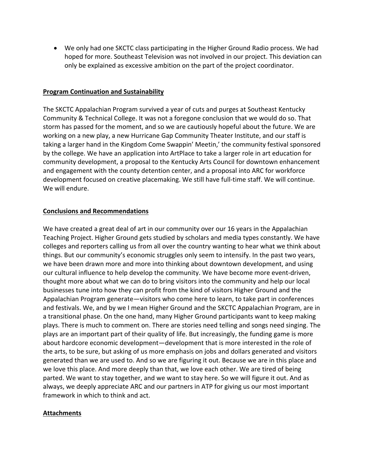• We only had one SKCTC class participating in the Higher Ground Radio process. We had hoped for more. Southeast Television was not involved in our project. This deviation can only be explained as excessive ambition on the part of the project coordinator.

### **Program Continuation and Sustainability**

The SKCTC Appalachian Program survived a year of cuts and purges at Southeast Kentucky Community & Technical College. It was not a foregone conclusion that we would do so. That storm has passed for the moment, and so we are cautiously hopeful about the future. We are working on a new play, a new Hurricane Gap Community Theater Institute, and our staff is taking a larger hand in the Kingdom Come Swappin' Meetin,' the community festival sponsored by the college. We have an application into ArtPlace to take a larger role in art education for community development, a proposal to the Kentucky Arts Council for downtown enhancement and engagement with the county detention center, and a proposal into ARC for workforce development focused on creative placemaking. We still have full-time staff. We will continue. We will endure.

### **Conclusions and Recommendations**

We have created a great deal of art in our community over our 16 years in the Appalachian Teaching Project. Higher Ground gets studied by scholars and media types constantly. We have colleges and reporters calling us from all over the country wanting to hear what we think about things. But our community's economic struggles only seem to intensify. In the past two years, we have been drawn more and more into thinking about downtown development, and using our cultural influence to help develop the community. We have become more event-driven, thought more about what we can do to bring visitors into the community and help our local businesses tune into how they can profit from the kind of visitors Higher Ground and the Appalachian Program generate—visitors who come here to learn, to take part in conferences and festivals. We, and by we I mean Higher Ground and the SKCTC Appalachian Program, are in a transitional phase. On the one hand, many Higher Ground participants want to keep making plays. There is much to comment on. There are stories need telling and songs need singing. The plays are an important part of their quality of life. But increasingly, the funding game is more about hardcore economic development—development that is more interested in the role of the arts, to be sure, but asking of us more emphasis on jobs and dollars generated and visitors generated than we are used to. And so we are figuring it out. Because we are in this place and we love this place. And more deeply than that, we love each other. We are tired of being parted. We want to stay together, and we want to stay here. So we will figure it out. And as always, we deeply appreciate ARC and our partners in ATP for giving us our most important framework in which to think and act.

## **Attachments**